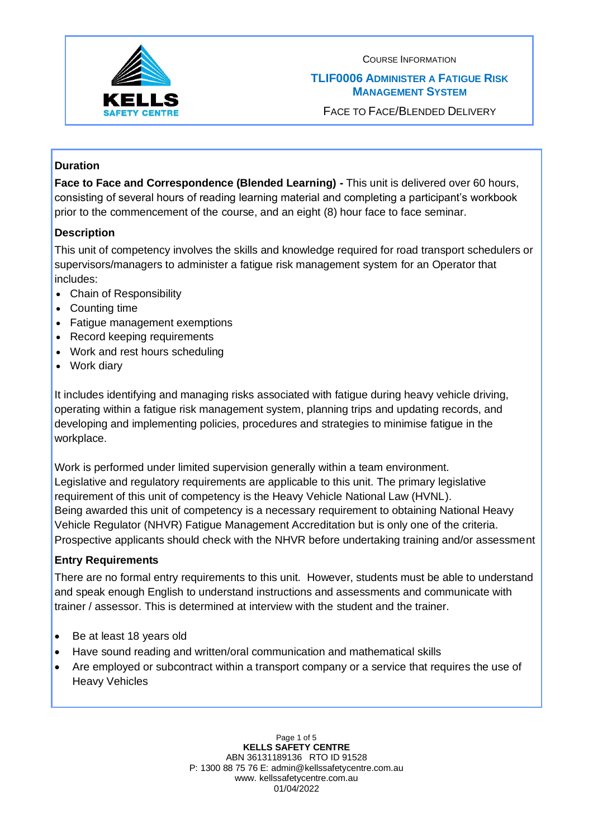

### **TLIF0006 ADMINISTER A FATIGUE RISK MANAGEMENT SYSTEM**

FACE TO FACE/BLENDED DELIVERY

## **Duration**

**Face to Face and Correspondence (Blended Learning) -** This unit is delivered over 60 hours, consisting of several hours of reading learning material and completing a participant's workbook prior to the commencement of the course, and an eight (8) hour face to face seminar.

### **Description**

This unit of competency involves the skills and knowledge required for road transport schedulers or supervisors/managers to administer a fatigue risk management system for an Operator that includes:

- Chain of Responsibility
- Counting time
- Fatigue management exemptions
- Record keeping requirements
- Work and rest hours scheduling
- Work diary

It includes identifying and managing risks associated with fatigue during heavy vehicle driving, operating within a fatigue risk management system, planning trips and updating records, and developing and implementing policies, procedures and strategies to minimise fatigue in the workplace.

Work is performed under limited supervision generally within a team environment. Legislative and regulatory requirements are applicable to this unit. The primary legislative requirement of this unit of competency is the Heavy Vehicle National Law (HVNL). Being awarded this unit of competency is a necessary requirement to obtaining National Heavy Vehicle Regulator (NHVR) Fatigue Management Accreditation but is only one of the criteria. Prospective applicants should check with the NHVR before undertaking training and/or assessment

### **Entry Requirements**

There are no formal entry requirements to this unit. However, students must be able to understand and speak enough English to understand instructions and assessments and communicate with trainer / assessor. This is determined at interview with the student and the trainer.

- Be at least 18 years old
- Have sound reading and written/oral communication and mathematical skills
- Are employed or subcontract within a transport company or a service that requires the use of Heavy Vehicles

Page 1 of 5 **KELLS SAFETY CENTRE** ABN 36131189136 RTO ID 91528 P: 1300 88 75 76 E: admin@kellssafetycentre.com.au www. kellssafetycentre.com.au 01/04/2022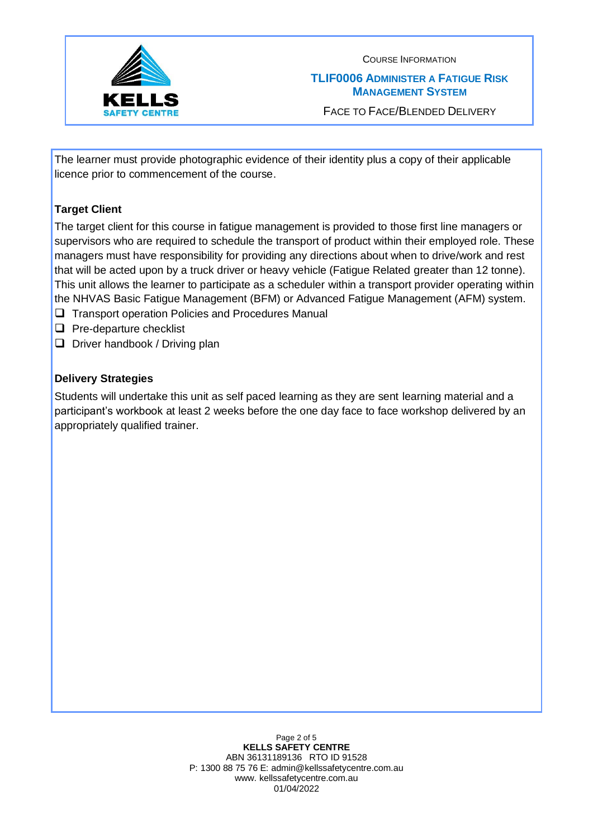

COURSE INFORMATION **TLIF0006 ADMINISTER A FATIGUE RISK MANAGEMENT SYSTEM**

FACE TO FACE/BLENDED DELIVERY

The learner must provide photographic evidence of their identity plus a copy of their applicable licence prior to commencement of the course.

# **Target Client**

The target client for this course in fatigue management is provided to those first line managers or supervisors who are required to schedule the transport of product within their employed role. These managers must have responsibility for providing any directions about when to drive/work and rest that will be acted upon by a truck driver or heavy vehicle (Fatigue Related greater than 12 tonne). This unit allows the learner to participate as a scheduler within a transport provider operating within the NHVAS Basic Fatigue Management (BFM) or Advanced Fatigue Management (AFM) system.

- ❑ Transport operation Policies and Procedures Manual
- ❑ Pre-departure checklist
- ❑ Driver handbook / Driving plan

# **Delivery Strategies**

Students will undertake this unit as self paced learning as they are sent learning material and a participant's workbook at least 2 weeks before the one day face to face workshop delivered by an appropriately qualified trainer.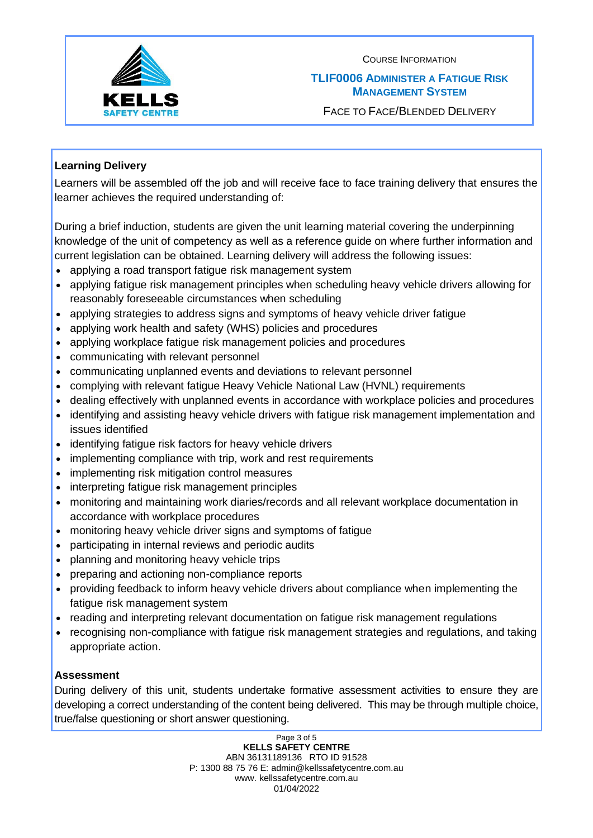

### **TLIF0006 ADMINISTER A FATIGUE RISK MANAGEMENT SYSTEM**

FACE TO FACE/BLENDED DELIVERY

## **Learning Delivery**

Learners will be assembled off the job and will receive face to face training delivery that ensures the learner achieves the required understanding of:

During a brief induction, students are given the unit learning material covering the underpinning knowledge of the unit of competency as well as a reference guide on where further information and current legislation can be obtained. Learning delivery will address the following issues:

- applying a road transport fatigue risk management system
- applying fatigue risk management principles when scheduling heavy vehicle drivers allowing for reasonably foreseeable circumstances when scheduling
- applying strategies to address signs and symptoms of heavy vehicle driver fatigue
- applying work health and safety (WHS) policies and procedures
- applying workplace fatigue risk management policies and procedures
- communicating with relevant personnel
- communicating unplanned events and deviations to relevant personnel
- complying with relevant fatigue Heavy Vehicle National Law (HVNL) requirements
- dealing effectively with unplanned events in accordance with workplace policies and procedures
- identifying and assisting heavy vehicle drivers with fatigue risk management implementation and issues identified
- identifying fatigue risk factors for heavy vehicle drivers
- implementing compliance with trip, work and rest requirements
- implementing risk mitigation control measures
- interpreting fatigue risk management principles
- monitoring and maintaining work diaries/records and all relevant workplace documentation in accordance with workplace procedures
- monitoring heavy vehicle driver signs and symptoms of fatigue
- participating in internal reviews and periodic audits
- planning and monitoring heavy vehicle trips
- preparing and actioning non-compliance reports
- providing feedback to inform heavy vehicle drivers about compliance when implementing the fatigue risk management system
- reading and interpreting relevant documentation on fatigue risk management regulations
- recognising non-compliance with fatigue risk management strategies and regulations, and taking appropriate action.

## **Assessment**

During delivery of this unit, students undertake formative assessment activities to ensure they are developing a correct understanding of the content being delivered. This may be through multiple choice, true/false questioning or short answer questioning.

> Page 3 of 5 **KELLS SAFETY CENTRE** ABN 36131189136 RTO ID 91528 P: 1300 88 75 76 E: admin@kellssafetycentre.com.au www. kellssafetycentre.com.au 01/04/2022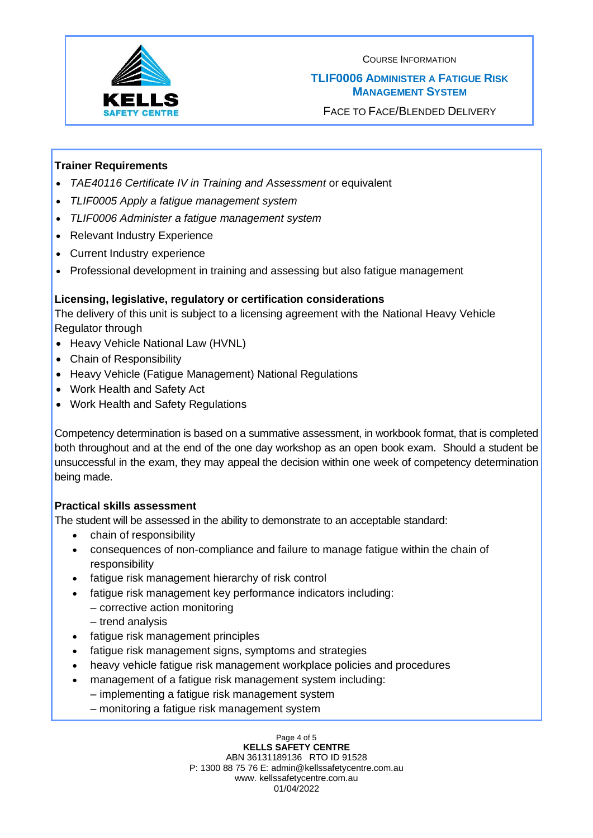

### **TLIF0006 ADMINISTER A FATIGUE RISK MANAGEMENT SYSTEM**

FACE TO FACE/BLENDED DELIVERY

### **Trainer Requirements**

- *TAE40116 Certificate IV in Training and Assessment* or equivalent
- *TLIF0005 Apply a fatigue management system*
- *TLIF0006 Administer a fatigue management system*
- Relevant Industry Experience
- Current Industry experience
- Professional development in training and assessing but also fatigue management

#### **Licensing, legislative, regulatory or certification considerations**

The delivery of this unit is subject to a licensing agreement with the National Heavy Vehicle Regulator through

- Heavy Vehicle National Law (HVNL)
- Chain of Responsibility
- Heavy Vehicle (Fatigue Management) National Regulations
- Work Health and Safety Act
- Work Health and Safety Regulations

Competency determination is based on a summative assessment, in workbook format, that is completed both throughout and at the end of the one day workshop as an open book exam. Should a student be unsuccessful in the exam, they may appeal the decision within one week of competency determination being made.

#### **Practical skills assessment**

The student will be assessed in the ability to demonstrate to an acceptable standard:

- chain of responsibility
- consequences of non-compliance and failure to manage fatigue within the chain of responsibility
- fatigue risk management hierarchy of risk control
- fatigue risk management key performance indicators including:
	- corrective action monitoring
	- trend analysis
- fatigue risk management principles
- fatigue risk management signs, symptoms and strategies
- heavy vehicle fatigue risk management workplace policies and procedures
- management of a fatigue risk management system including: – implementing a fatigue risk management system
	- monitoring a fatigue risk management system

Page 4 of 5 **KELLS SAFETY CENTRE** ABN 36131189136 RTO ID 91528 P: 1300 88 75 76 E: admin@kellssafetycentre.com.au www. kellssafetycentre.com.au 01/04/2022